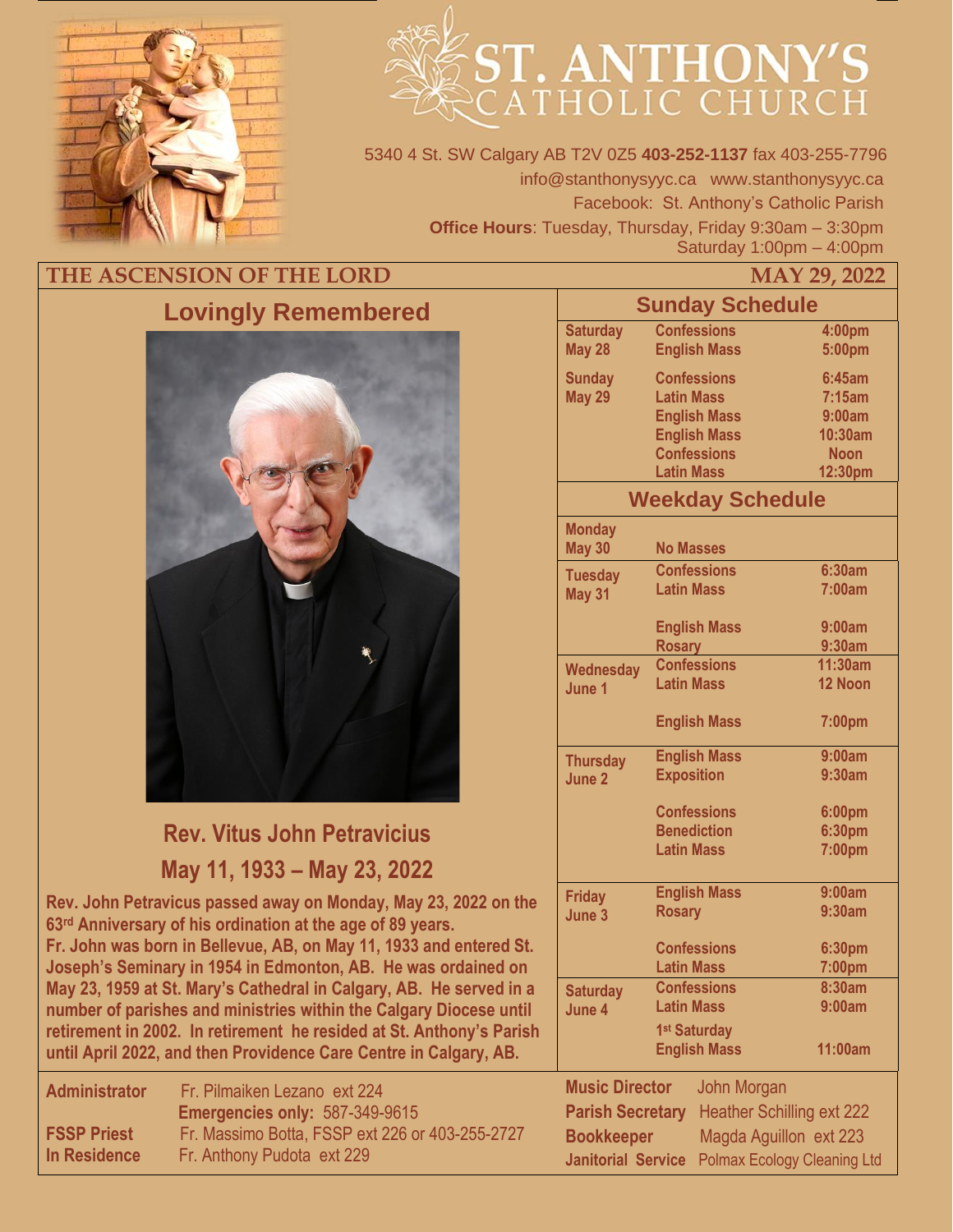

# ST. ANTHONY'S

5340 4 St. SW Calgary AB T2V 0Z5 **403-252-1137** fax 403-255-7796 info@stanthonysyyc.ca www.stanthonysyyc.ca Facebook: St. Anthony's Catholic Parish **Office Hours**: Tuesday, Thursday, Friday 9:30am – 3:30pm Saturday 1:00pm – 4:00pm

# THE ASCENSION OF THE LORD MAY 29, 2022



# **Rev. Vitus John Petravicius May 11, 1933 – May 23, 2022**

**Rev. John Petravicus passed away on Monday, May 23, 2022 on the 63rd Anniversary of his ordination at the age of 89 years. Fr. John was born in Bellevue, AB, on May 11, 1933 and entered St. Joseph's Seminary in 1954 in Edmonton, AB. He was ordained on May 23, 1959 at St. Mary's Cathedral in Calgary, AB. He served in a number of parishes and ministries within the Calgary Diocese until retirement in 2002. In retirement he resided at St. Anthony's Parish until April 2022, and then Providence Care Centre in Calgary, AB.** 

| <b>Administrator</b> | Fr. Pilmaiken Lezano ext 224                    |
|----------------------|-------------------------------------------------|
|                      | <b>Emergencies only: 587-349-9615</b>           |
| <b>FSSP Priest</b>   | Fr. Massimo Botta, FSSP ext 226 or 403-255-2727 |
| In Residence         | Fr. Anthony Pudota ext 229                      |
|                      |                                                 |

|                                                                 | <b>Sunday Schedule</b>  |             |
|-----------------------------------------------------------------|-------------------------|-------------|
| <b>Saturday</b>                                                 | <b>Confessions</b>      | 4:00pm      |
| <b>May 28</b>                                                   | <b>English Mass</b>     | 5:00pm      |
| <b>Sunday</b>                                                   | <b>Confessions</b>      | 6:45am      |
| <b>May 29</b>                                                   | <b>Latin Mass</b>       | 7:15am      |
|                                                                 | <b>English Mass</b>     | 9:00am      |
|                                                                 | <b>English Mass</b>     | 10:30am     |
|                                                                 | <b>Confessions</b>      | <b>Noon</b> |
|                                                                 | <b>Latin Mass</b>       | 12:30pm     |
|                                                                 | <b>Weekday Schedule</b> |             |
| <b>Monday</b>                                                   |                         |             |
| <b>May 30</b>                                                   | <b>No Masses</b>        |             |
| <b>Tuesday</b>                                                  | <b>Confessions</b>      | 6:30am      |
| <b>May 31</b>                                                   | <b>Latin Mass</b>       | 7:00am      |
|                                                                 | <b>English Mass</b>     | 9:00am      |
|                                                                 | <b>Rosary</b>           | 9:30am      |
| <b>Wednesday</b>                                                | <b>Confessions</b>      | 11:30am     |
| June 1                                                          | <b>Latin Mass</b>       | 12 Noon     |
|                                                                 | <b>English Mass</b>     | 7:00pm      |
| <b>Thursday</b>                                                 | <b>English Mass</b>     | 9:00am      |
| June 2                                                          | <b>Exposition</b>       | 9:30am      |
|                                                                 | <b>Confessions</b>      | 6:00pm      |
|                                                                 | <b>Benediction</b>      | 6:30pm      |
|                                                                 | <b>Latin Mass</b>       | 7:00pm      |
|                                                                 | <b>English Mass</b>     | 9:00am      |
| <b>Friday</b><br>June 3                                         | <b>Rosary</b>           | 9:30am      |
|                                                                 |                         |             |
|                                                                 | <b>Confessions</b>      | 6:30pm      |
|                                                                 | <b>Latin Mass</b>       | 7:00pm      |
| <b>Saturday</b>                                                 | <b>Confessions</b>      | 8:30am      |
| June 4                                                          | <b>Latin Mass</b>       | 9:00am      |
|                                                                 | 1st Saturday            |             |
|                                                                 | <b>English Mass</b>     | 11:00am     |
| <b>Music Director</b>                                           | John Morgan             |             |
|                                                                 |                         |             |
| <b>Heather Schilling ext 222</b><br><b>Parish Secretary</b>     |                         |             |
| Magda Aguillon ext 223<br><b>Bookkeeper</b>                     |                         |             |
| <b>Polmax Ecology Cleaning Ltd</b><br><b>Janitorial Service</b> |                         |             |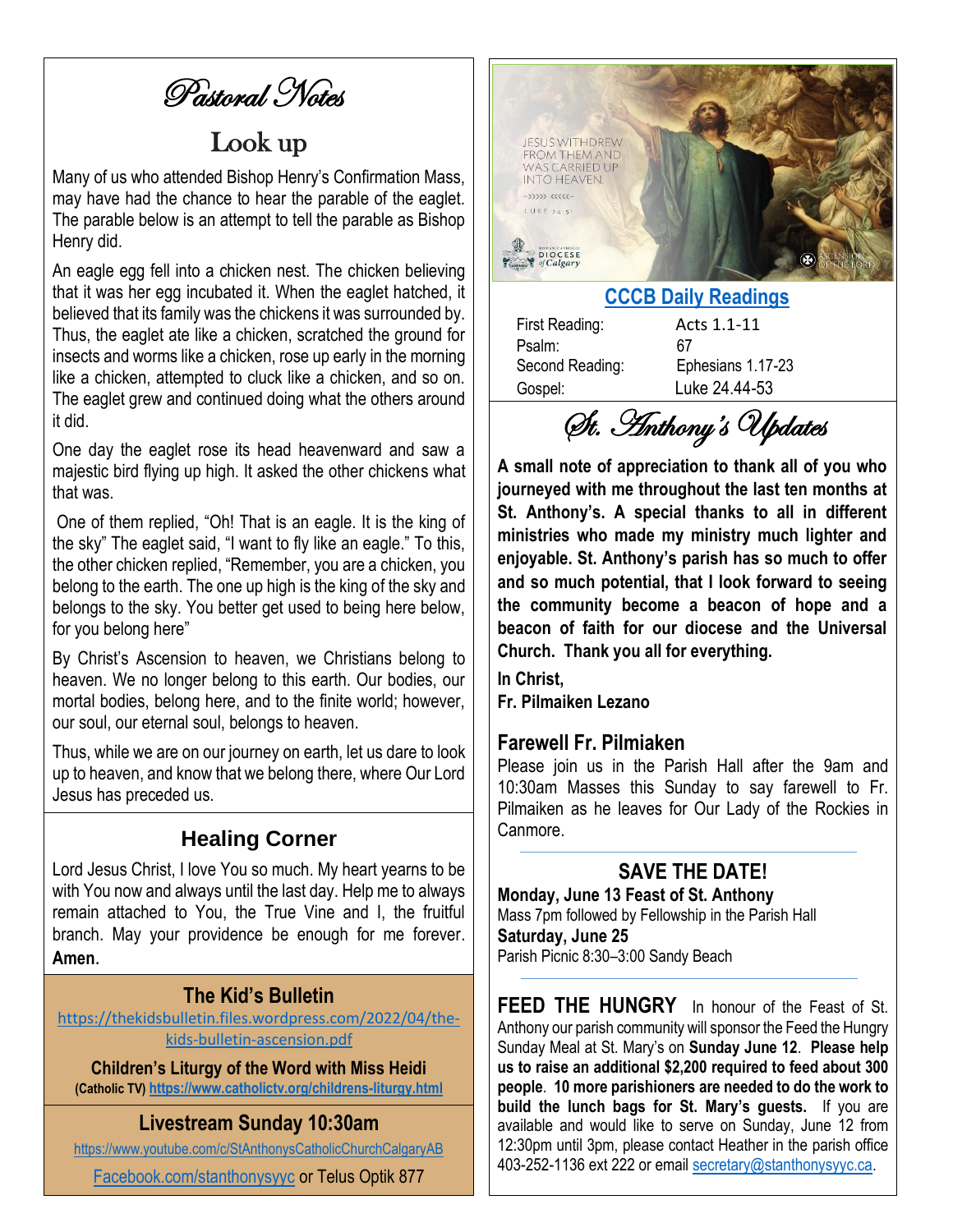Pastoral Notes

# Look up

Many of us who attended Bishop Henry's Confirmation Mass, may have had the chance to hear the parable of the eaglet. The parable below is an attempt to tell the parable as Bishop Henry did.

An eagle egg fell into a chicken nest. The chicken believing that it was her egg incubated it. When the eaglet hatched, it believed that its family was the chickens it was surrounded by. Thus, the eaglet ate like a chicken, scratched the ground for insects and worms like a chicken, rose up early in the morning like a chicken, attempted to cluck like a chicken, and so on. The eaglet grew and continued doing what the others around it did.

One day the eaglet rose its head heavenward and saw a majestic bird flying up high. It asked the other chickens what that was.

One of them replied, "Oh! That is an eagle. It is the king of the sky" The eaglet said, "I want to fly like an eagle." To this, the other chicken replied, "Remember, you are a chicken, you belong to the earth. The one up high is the king of the sky and belongs to the sky. You better get used to being here below, for you belong here"

By Christ's Ascension to heaven, we Christians belong to heaven. We no longer belong to this earth. Our bodies, our mortal bodies, belong here, and to the finite world; however, our soul, our eternal soul, belongs to heaven.

Thus, while we are on our journey on earth, let us dare to look up to heaven, and know that we belong there, where Our Lord Jesus has preceded us.

#### **Healing Corner**

Lord Jesus Christ, I love You so much. My heart yearns to be with You now and always until the last day. Help me to always remain attached to You, the True Vine and I, the fruitful branch. May your providence be enough for me forever. **Amen**.

#### **The Kid's Bulletin**

[https://thekidsbulletin.files.wordpress.com/2022/04/the](https://thekidsbulletin.files.wordpress.com/2022/04/the-kids-bulletin-ascension.pdf)[kids-bulletin-ascension.pdf](https://thekidsbulletin.files.wordpress.com/2022/04/the-kids-bulletin-ascension.pdf)

**Children's Liturgy of the Word with Miss Heidi (Catholic TV) <https://www.catholictv.org/childrens-liturgy.html>**

#### **Livestream Sunday 10:30am**

<https://www.youtube.com/c/StAnthonysCatholicChurchCalgaryAB>

[Facebook.com/stanthonysyyc](https://www.facebook.com/stanthonysyyc/) or Telus Optik 877



#### **[CCCB Daily Readings](http://ec2-34-245-7-114.eu-west-1.compute.amazonaws.com/daily-texts/reading/2022-05-29)**

First Reading: Acts 1.1-11 Psalm: 67 Gospel: Luke 24.44-53

Second Reading: Ephesians 1.17-23

St. Anthony's Updates

**A small note of appreciation to thank all of you who journeyed with me throughout the last ten months at St. Anthony's. A special thanks to all in different ministries who made my ministry much lighter and enjoyable. St. Anthony's parish has so much to offer and so much potential, that I look forward to seeing the community become a beacon of hope and a beacon of faith for our diocese and the Universal Church. Thank you all for everything.** 

**In Christ,**

**Fr. Pilmaiken Lezano**

#### **Farewell Fr. Pilmiaken**

Please join us in the Parish Hall after the 9am and 10:30am Masses this Sunday to say farewell to Fr. Pilmaiken as he leaves for Our Lady of the Rockies in Canmore.

## **SAVE THE DATE!**

**Monday, June 13 Feast of St. Anthony** Mass 7pm followed by Fellowship in the Parish Hall **Saturday, June 25** Parish Picnic 8:30–3:00 Sandy Beach

**FEED THE HUNGRY** In honour of the Feast of St. Anthony our parish community will sponsor the Feed the Hungry Sunday Meal at St. Mary's on **Sunday June 12**. **Please help us to raise an additional \$2,200 required to feed about 300 people**. **10 more parishioners are needed to do the work to build the lunch bags for St. Mary's guests.** If you are available and would like to serve on Sunday, June 12 from 12:30pm until 3pm, please contact Heather in the parish office 403-252-1136 ext 222 or email [secretary@stanthonysyyc.ca.](mailto:secretary@stanthonysyyc.ca)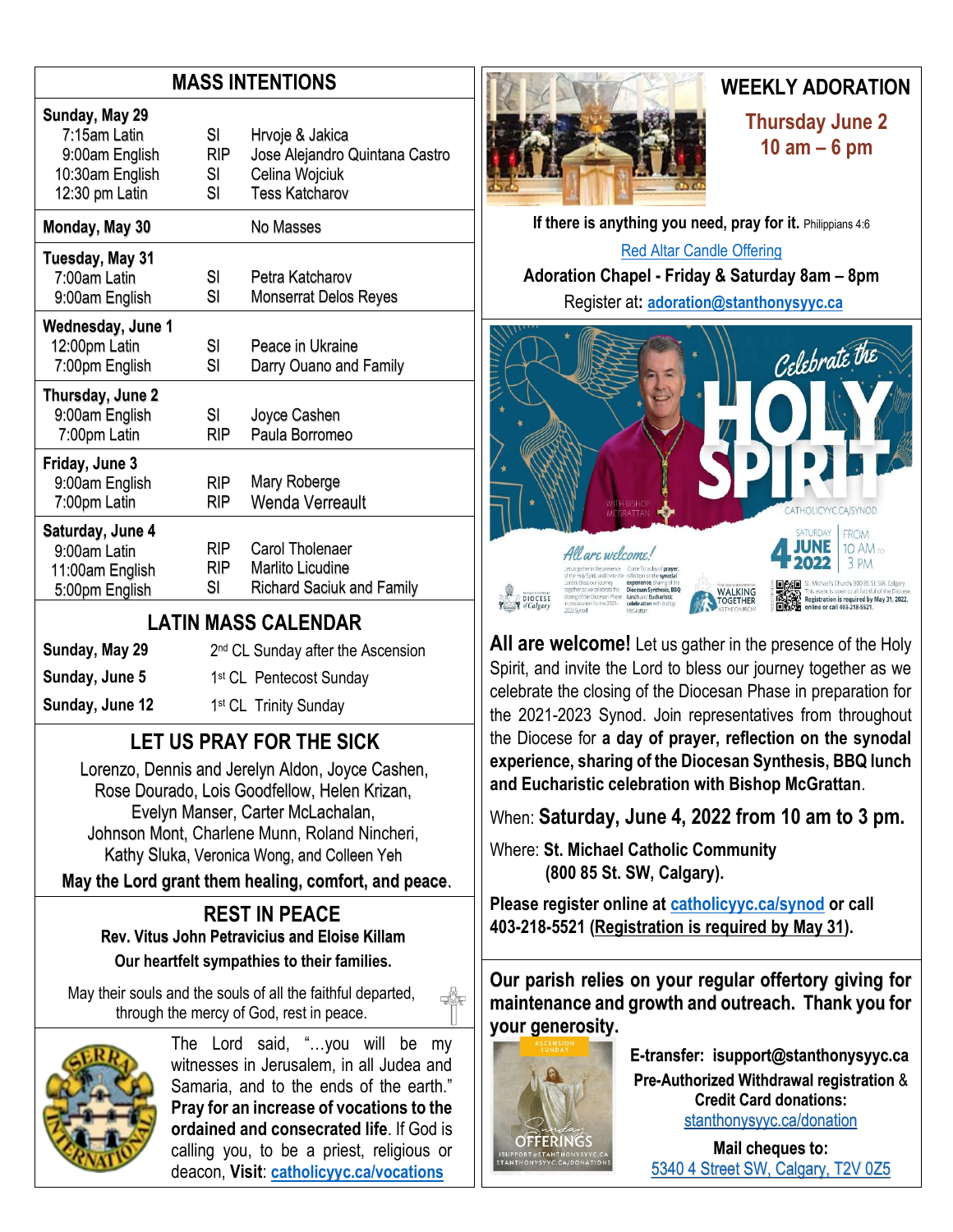#### **MASS INTENTIONS**

| Jose Alejandro Quintana Castro<br>Celina Wojciuk<br><b>Tess Katcharov</b>      |
|--------------------------------------------------------------------------------|
| No Masses                                                                      |
| Petra Katcharov<br><b>Monserrat Delos Reyes</b>                                |
| Peace in Ukraine<br>Darry Ouano and Family                                     |
| Joyce Cashen<br>Paula Borromeo                                                 |
| Mary Roberge<br>Wenda Verreault                                                |
| Carol Tholenaer<br><b>Marlito Licudine</b><br><b>Richard Saciuk and Family</b> |
|                                                                                |

#### **LATIN MASS CALENDAR**

| Sunday, May 29  | 2 <sup>nd</sup> CL Sunday after the Ascension |
|-----------------|-----------------------------------------------|
| Sunday, June 5  | 1 <sup>st</sup> CL Pentecost Sunday           |
| Sunday, June 12 | 1 <sup>st</sup> CL Trinity Sunday             |
|                 |                                               |

## **LET US PRAY FOR THE SICK**

Lorenzo, Dennis and Jerelyn Aldon, Joyce Cashen, Rose Dourado, Lois Goodfellow, Helen Krizan, Evelyn Manser, Carter McLachalan, Johnson Mont, Charlene Munn, Roland Nincheri, Kathy Sluka, Veronica Wong, and Colleen Yeh

**May the Lord grant them healing, comfort, and peace**.

#### **REST IN PEACE Rev. Vitus John Petravicius and Eloise Killam Our heartfelt sympathies to their families.**

May their souls and the souls of all the faithful departed, through the mercy of God, rest in peace.



The Lord said, "…you will be my witnesses in Jerusalem, in all Judea and Samaria, and to the ends of the earth." **Pray for an increase of vocations to the ordained and consecrated life**. If God is calling you, to be a priest, religious or deacon, **Visit**: **[catholicyyc.ca/vocations](http://www.catholicyyc.ca/vocations)**



## **WEEKLY ADORATION**

**Thursday June 2 10 am – 6 pm**

**If there is anything you need, pray for it. Philippians 4:6** [Red Altar Candle Offering](https://stanthonysyyc.ca/wp-content/uploads/2020/10/RED-ALTAR-CANDLE-OFFERING.pdf) **Adoration Chapel - Friday & Saturday 8am – 8pm**  Register at**: [adoration@stanthonysyyc.ca](mailto:adoration@stanthonysyyc.ca)**



**All are welcome!** Let us gather in the presence of the Holy Spirit, and invite the Lord to bless our journey together as we celebrate the closing of the Diocesan Phase in preparation for the 2021-2023 Synod. Join representatives from throughout the Diocese for **a day of prayer, reflection on the synodal experience, sharing of the Diocesan Synthesis, BBQ lunch and Eucharistic celebration with Bishop McGrattan**.

When: **Saturday, June 4, 2022 from 10 am to 3 pm.**

Where: **St. Michael Catholic Community (800 85 St. SW, Calgary).** 

**Please register online at [catholicyyc.ca/synod](https://www.catholicyyc.ca/synod.html) or call 403-218-5521 (Registration is required by May 31).**

**Our parish relies on your regular offertory giving for maintenance and growth and outreach. Thank you for your generosity.** 



**E-transfer: isupport@stanthonysyyc.ca Pre-Authorized Withdrawal registration** & **Credit Card donations:** [stanthonysyyc.ca/donation](https://stanthonysyyc.ca/donation/)

**Mail cheques to:** 5340 4 Street SW, Calgary, T2V 0Z5